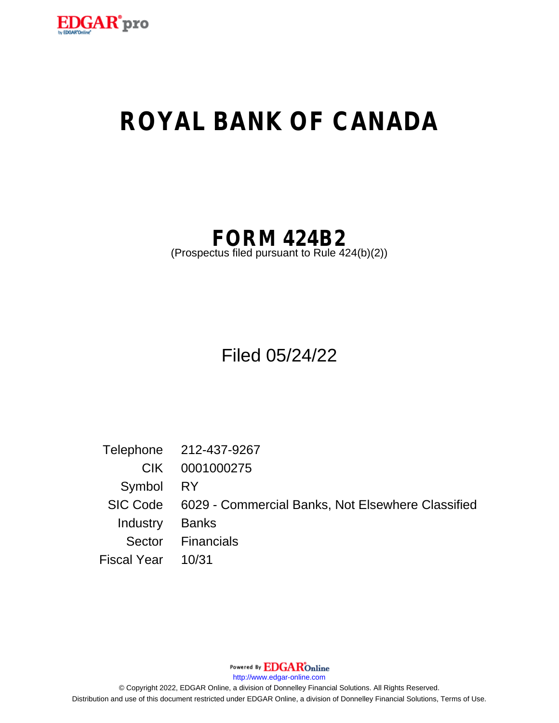

# **ROYAL BANK OF CANADA**

## **FORM 424B2**

(Prospectus filed pursuant to Rule 424(b)(2))

Filed 05/24/22

Telephone 212-437-9267 CIK 0001000275 Symbol RY SIC Code 6029 - Commercial Banks, Not Elsewhere Classified Industry Banks Sector Financials Fiscal Year 10/31

Powered By **EDGAR**Online

http://www.edgar-online.com

© Copyright 2022, EDGAR Online, a division of Donnelley Financial Solutions. All Rights Reserved. Distribution and use of this document restricted under EDGAR Online, a division of Donnelley Financial Solutions, Terms of Use.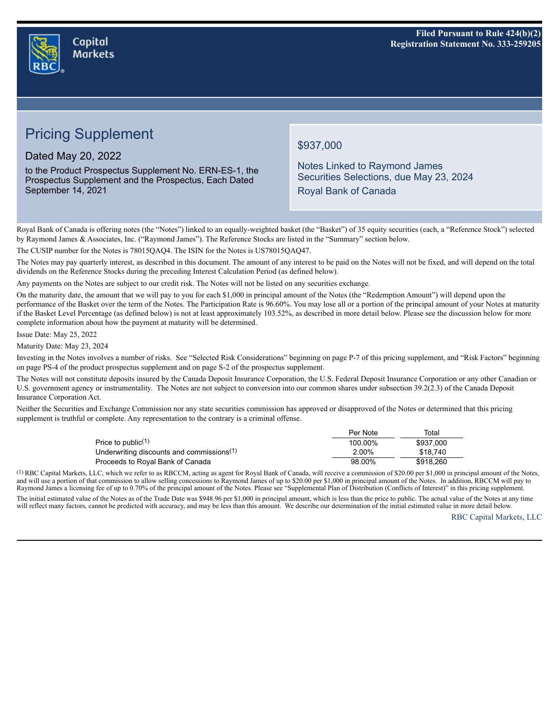

## **Pricing Supplement**

Dated May 20, 2022

to the Product Prospectus Supplement No. ERN-ES-1, the Prospectus Supplement and the Prospectus, Each Dated September 14, 2021

## \$937,000

Notes Linked to Raymond James Securities Selections, due May 23, 2024 Royal Bank of Canada

Royal Bank of Canada is offering notes (the "Notes") linked to an equally-weighted basket (the "Basket") of 35 equity securities (each, a "Reference Stock") selected by Raymond James & Associates, Inc. ("Raymond James"). The Reference Stocks are listed in the "Summary" section below.

The CUSIP number for the Notes is 78015QAQ4. The ISIN for the Notes is US78015QAQ47.

The Notes may pay quarterly interest, as described in this document. The amount of any interest to be paid on the Notes will not be fixed, and will depend on the total dividends on the Reference Stocks during the preceding Interest Calculation Period (as defined below).

Any payments on the Notes are subject to our credit risk. The Notes will not be listed on any securities exchange.

On the maturity date, the amount that we will pay to you for each \$1,000 in principal amount of the Notes (the "Redemption Amount") will depend upon the performance of the Basket over the term of the Notes. The Participation Rate is 96.60%. You may lose all or a portion of the principal amount of your Notes at maturity if the Basket Level Percentage (as defined below) is not at least approximately 103.52%, as described in more detail below. Please see the discussion below for more complete information about how the payment at maturity will be determined.

Issue Date: May 25, 2022

Maturity Date: May 23, 2024

Investing in the Notes involves a number of risks. See "Selected Risk Considerations" beginning on page P-7 of this pricing supplement, and "Risk Factors" beginning on page PS-4 of the product prospectus supplement and on page S-2 of the prospectus supplement.

The Notes will not constitute deposits insured by the Canada Deposit Insurance Corporation, the U.S. Federal Deposit Insurance Corporation or any other Canadian or U.S. government agency or instrumentality. The Notes are not subject to conversion into our common shares under subsection 39.2(2.3) of the Canada Deposit Insurance Corporation Act.

Neither the Securities and Exchange Commission nor any state securities commission has approved or disapproved of the Notes or determined that this pricing supplement is truthful or complete. Any representation to the contrary is a criminal offense.

|                                                       | Per Note | Total     |
|-------------------------------------------------------|----------|-----------|
| Price to public <sup><math>(1)</math></sup>           | 100.00%  | \$937,000 |
| Underwriting discounts and commissions <sup>(1)</sup> | $2.00\%$ | \$18.740  |
| Proceeds to Royal Bank of Canada                      | 98.00%   | \$918.260 |

(1) RBC Capital Markets, LLC, which we refer to as RBCCM, acting as agent for Royal Bank of Canada, will receive a commission of \$20.00 per \$1,000 in principal amount of the Notes, n and will use a portion of that commission to allow selling concessions to Raymond James of up to \$20.00 per \$1,000 in principal amount of the Notes. In addition, RBCCM will pay to Raymond James a licensing fee of up to 0

The initial estimated value of the Notes as of the Trade Date was \$948.96 per \$1,000 in principal amount, which is less than the price to public. The actual value of the Notes at any time will reflect many factors, cannot be predicted with accuracy, and may be less than this amount. We describe our determination of the initial estimated value in more detail below.

RBC Capital Markets, LLC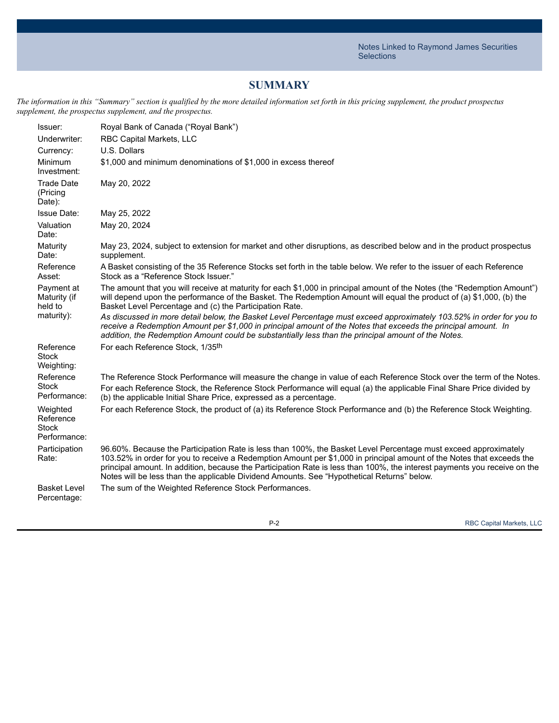## **SUMMARY**

The information in this "Summary" section is qualified by the more detailed information set forth in this pricing supplement, the product prospectus *supplement, the prospectus supplement, and the prospectus.*

| Issuer:<br>Underwriter:                               | Royal Bank of Canada ("Royal Bank")<br>RBC Capital Markets, LLC                                                                                                                                                                                                                                                                                                                                                                                                     |
|-------------------------------------------------------|---------------------------------------------------------------------------------------------------------------------------------------------------------------------------------------------------------------------------------------------------------------------------------------------------------------------------------------------------------------------------------------------------------------------------------------------------------------------|
| Currency:                                             | U.S. Dollars                                                                                                                                                                                                                                                                                                                                                                                                                                                        |
| Minimum<br>Investment:                                | \$1,000 and minimum denominations of \$1,000 in excess thereof                                                                                                                                                                                                                                                                                                                                                                                                      |
| <b>Trade Date</b><br>(Pricing<br>Date):               | May 20, 2022                                                                                                                                                                                                                                                                                                                                                                                                                                                        |
| <b>Issue Date:</b>                                    | May 25, 2022                                                                                                                                                                                                                                                                                                                                                                                                                                                        |
| Valuation<br>Date:                                    | May 20, 2024                                                                                                                                                                                                                                                                                                                                                                                                                                                        |
| Maturity<br>Date:                                     | May 23, 2024, subject to extension for market and other disruptions, as described below and in the product prospectus<br>supplement.                                                                                                                                                                                                                                                                                                                                |
| Reference<br>Asset:                                   | A Basket consisting of the 35 Reference Stocks set forth in the table below. We refer to the issuer of each Reference<br>Stock as a "Reference Stock Issuer."                                                                                                                                                                                                                                                                                                       |
| Payment at<br>Maturity (if<br>held to                 | The amount that you will receive at maturity for each \$1,000 in principal amount of the Notes (the "Redemption Amount")<br>will depend upon the performance of the Basket. The Redemption Amount will equal the product of (a) \$1,000, (b) the<br>Basket Level Percentage and (c) the Participation Rate.                                                                                                                                                         |
| maturity):                                            | As discussed in more detail below, the Basket Level Percentage must exceed approximately 103.52% in order for you to<br>receive a Redemption Amount per \$1,000 in principal amount of the Notes that exceeds the principal amount. In<br>addition, the Redemption Amount could be substantially less than the principal amount of the Notes.                                                                                                                       |
| Reference<br>Stock<br>Weighting:                      | For each Reference Stock, 1/35th                                                                                                                                                                                                                                                                                                                                                                                                                                    |
| Reference<br><b>Stock</b><br>Performance:             | The Reference Stock Performance will measure the change in value of each Reference Stock over the term of the Notes.<br>For each Reference Stock, the Reference Stock Performance will equal (a) the applicable Final Share Price divided by<br>(b) the applicable Initial Share Price, expressed as a percentage.                                                                                                                                                  |
| Weighted<br>Reference<br><b>Stock</b><br>Performance: | For each Reference Stock, the product of (a) its Reference Stock Performance and (b) the Reference Stock Weighting.                                                                                                                                                                                                                                                                                                                                                 |
| Participation<br>Rate:                                | 96.60%. Because the Participation Rate is less than 100%, the Basket Level Percentage must exceed approximately<br>103.52% in order for you to receive a Redemption Amount per \$1,000 in principal amount of the Notes that exceeds the<br>principal amount. In addition, because the Participation Rate is less than 100%, the interest payments you receive on the<br>Notes will be less than the applicable Dividend Amounts. See "Hypothetical Returns" below. |
| <b>Basket Level</b><br>Percentage:                    | The sum of the Weighted Reference Stock Performances.                                                                                                                                                                                                                                                                                                                                                                                                               |

P-2 RBC Capital Markets, LLC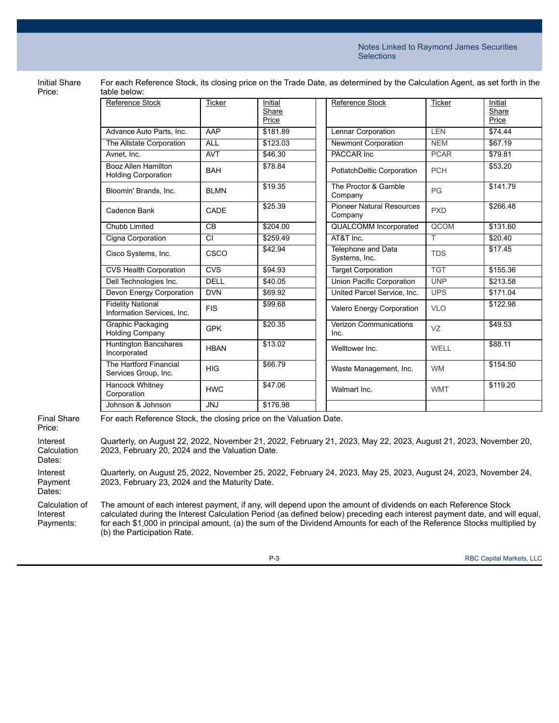Initial Share Price:

| For each Reference Stock, its closing price on the Trade Date, as determined by the Calculation Agent, as set forth in the |  |
|----------------------------------------------------------------------------------------------------------------------------|--|
| table below:                                                                                                               |  |

| <b>Reference Stock</b>                                 | <b>Ticker</b> | Initial<br>Share | <b>Reference Stock</b>                      | <b>Ticker</b> | Initial<br>Share |
|--------------------------------------------------------|---------------|------------------|---------------------------------------------|---------------|------------------|
|                                                        |               | Price            |                                             |               | Price            |
| Advance Auto Parts, Inc.                               | <b>AAP</b>    | \$181.89         | Lennar Corporation                          | <b>LEN</b>    | \$74.44          |
| The Allstate Corporation                               | <b>ALL</b>    | \$123.03         | <b>Newmont Corporation</b>                  | <b>NEM</b>    | \$67.19          |
| Avnet, Inc.                                            | <b>AVT</b>    | \$46.30          | PACCAR Inc                                  | <b>PCAR</b>   | \$79.81          |
| Booz Allen Hamilton<br><b>Holding Corporation</b>      | <b>BAH</b>    | \$78.84          | PotlatchDeltic Corporation                  | <b>PCH</b>    | \$53.20          |
| Bloomin' Brands, Inc.                                  | <b>BLMN</b>   | \$19.35          | The Proctor & Gamble<br>Company             | PG            | \$141.79         |
| Cadence Bank                                           | CADE          | \$25.39          | <b>Pioneer Natural Resources</b><br>Company | <b>PXD</b>    | \$266.48         |
| Chubb Limited                                          | CB            | \$204.00         | QUALCOMM Incorporated                       | <b>QCOM</b>   | \$131.60         |
| Cigna Corporation                                      | CI            | \$259.49         | AT&T Inc.                                   | T.            | \$20.40          |
| Cisco Systems, Inc.                                    | CSCO          | \$42.94          | Telephone and Data<br>Systems, Inc.         | <b>TDS</b>    | \$17.45          |
| <b>CVS Health Corporation</b>                          | CVS           | \$94.93          | <b>Target Corporation</b>                   | <b>TGT</b>    | \$155.36         |
| Dell Technologies Inc.                                 | <b>DELL</b>   | \$40.05          | Union Pacific Corporation                   | <b>UNP</b>    | \$213.58         |
| Devon Energy Corporation                               | <b>DVN</b>    | \$69.92          | United Parcel Service, Inc.                 | <b>UPS</b>    | \$171.04         |
| <b>Fidelity National</b><br>Information Services, Inc. | <b>FIS</b>    | \$99.68          | Valero Energy Corporation                   | <b>VLO</b>    | \$122.98         |
| Graphic Packaging<br><b>Holding Company</b>            | <b>GPK</b>    | \$20.35          | Verizon Communications<br>Inc.              | VZ            | \$49.53          |
| <b>Huntington Bancshares</b><br>Incorporated           | <b>HBAN</b>   | \$13.02          | Welltower Inc.                              | WELL          | \$88.11          |
| The Hartford Financial<br>Services Group, Inc.         | <b>HIG</b>    | \$66.79          | Waste Management, Inc.                      | <b>WM</b>     | \$154.50         |
| Hancock Whitney<br>Corporation                         | <b>HWC</b>    | \$47.06          | Walmart Inc.                                | <b>WMT</b>    | \$119.20         |
| Johnson & Johnson                                      | <b>JNJ</b>    | \$176.98         |                                             |               |                  |

Final Share Price:

For each Reference Stock, the closing price on the Valuation Date.

Interest **Calculation** Quarterly, on August 22, 2022, November 21, 2022, February 21, 2023, May 22, 2023, August 21, 2023, November 20, 2023, February 20, 2024 and the Valuation Date.

Dates:

Interest Payment Dates: Quarterly, on August 25, 2022, November 25, 2022, February 24, 2023, May 25, 2023, August 24, 2023, November 24, 2023, February 23, 2024 and the Maturity Date.

Calculation of Interest Payments: The amount of each interest payment, if any, will depend upon the amount of dividends on each Reference Stock calculated during the Interest Calculation Period (as defined below) preceding each interest payment date, and will equal, for each \$1,000 in principal amount, (a) the sum of the Dividend Amounts for each of the Reference Stocks multiplied by (b) the Participation Rate.

P-3 RBC Capital Markets, LLC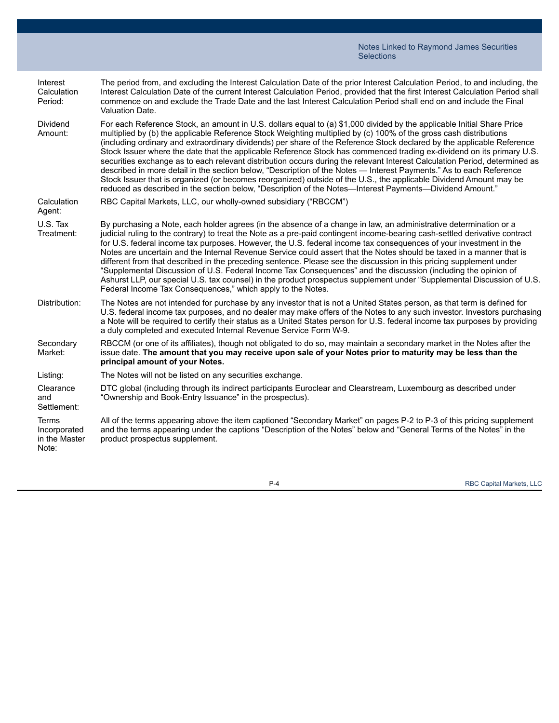| Interest<br>Calculation<br>Period:                     | The period from, and excluding the Interest Calculation Date of the prior Interest Calculation Period, to and including, the<br>Interest Calculation Date of the current Interest Calculation Period, provided that the first Interest Calculation Period shall<br>commence on and exclude the Trade Date and the last Interest Calculation Period shall end on and include the Final<br>Valuation Date.                                                                                                                                                                                                                                                                                                                                                                                                                                                                                                                                                                              |
|--------------------------------------------------------|---------------------------------------------------------------------------------------------------------------------------------------------------------------------------------------------------------------------------------------------------------------------------------------------------------------------------------------------------------------------------------------------------------------------------------------------------------------------------------------------------------------------------------------------------------------------------------------------------------------------------------------------------------------------------------------------------------------------------------------------------------------------------------------------------------------------------------------------------------------------------------------------------------------------------------------------------------------------------------------|
| Dividend<br>Amount:                                    | For each Reference Stock, an amount in U.S. dollars equal to (a) \$1,000 divided by the applicable Initial Share Price<br>multiplied by (b) the applicable Reference Stock Weighting multiplied by (c) 100% of the gross cash distributions<br>(including ordinary and extraordinary dividends) per share of the Reference Stock declared by the applicable Reference<br>Stock Issuer where the date that the applicable Reference Stock has commenced trading ex-dividend on its primary U.S.<br>securities exchange as to each relevant distribution occurs during the relevant Interest Calculation Period, determined as<br>described in more detail in the section below, "Description of the Notes - Interest Payments." As to each Reference<br>Stock Issuer that is organized (or becomes reorganized) outside of the U.S., the applicable Dividend Amount may be<br>reduced as described in the section below, "Description of the Notes—Interest Payments—Dividend Amount." |
| Calculation<br>Agent:                                  | RBC Capital Markets, LLC, our wholly-owned subsidiary ("RBCCM")                                                                                                                                                                                                                                                                                                                                                                                                                                                                                                                                                                                                                                                                                                                                                                                                                                                                                                                       |
| U.S. Tax<br>Treatment:                                 | By purchasing a Note, each holder agrees (in the absence of a change in law, an administrative determination or a<br>judicial ruling to the contrary) to treat the Note as a pre-paid contingent income-bearing cash-settled derivative contract<br>for U.S. federal income tax purposes. However, the U.S. federal income tax consequences of your investment in the<br>Notes are uncertain and the Internal Revenue Service could assert that the Notes should be taxed in a manner that is<br>different from that described in the preceding sentence. Please see the discussion in this pricing supplement under<br>"Supplemental Discussion of U.S. Federal Income Tax Consequences" and the discussion (including the opinion of<br>Ashurst LLP, our special U.S. tax counsel) in the product prospectus supplement under "Supplemental Discussion of U.S.<br>Federal Income Tax Consequences," which apply to the Notes.                                                       |
| Distribution:                                          | The Notes are not intended for purchase by any investor that is not a United States person, as that term is defined for<br>U.S. federal income tax purposes, and no dealer may make offers of the Notes to any such investor. Investors purchasing<br>a Note will be required to certify their status as a United States person for U.S. federal income tax purposes by providing<br>a duly completed and executed Internal Revenue Service Form W-9.                                                                                                                                                                                                                                                                                                                                                                                                                                                                                                                                 |
| Secondary<br>Market:                                   | RBCCM (or one of its affiliates), though not obligated to do so, may maintain a secondary market in the Notes after the<br>issue date. The amount that you may receive upon sale of your Notes prior to maturity may be less than the<br>principal amount of your Notes.                                                                                                                                                                                                                                                                                                                                                                                                                                                                                                                                                                                                                                                                                                              |
| Listing:                                               | The Notes will not be listed on any securities exchange.                                                                                                                                                                                                                                                                                                                                                                                                                                                                                                                                                                                                                                                                                                                                                                                                                                                                                                                              |
| Clearance<br>and<br>Settlement:                        | DTC global (including through its indirect participants Euroclear and Clearstream, Luxembourg as described under<br>"Ownership and Book-Entry Issuance" in the prospectus).                                                                                                                                                                                                                                                                                                                                                                                                                                                                                                                                                                                                                                                                                                                                                                                                           |
| <b>Terms</b><br>Incorporated<br>in the Master<br>Note: | All of the terms appearing above the item captioned "Secondary Market" on pages P-2 to P-3 of this pricing supplement<br>and the terms appearing under the captions "Description of the Notes" below and "General Terms of the Notes" in the<br>product prospectus supplement.                                                                                                                                                                                                                                                                                                                                                                                                                                                                                                                                                                                                                                                                                                        |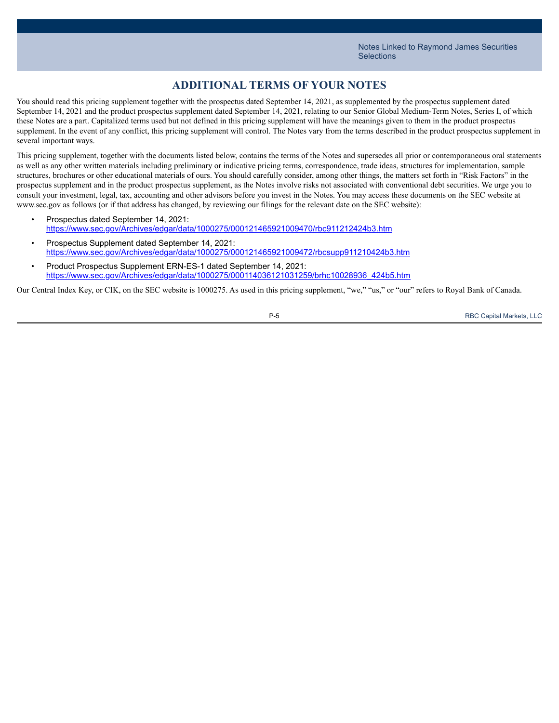## **ADDITIONAL TERMS OF YOUR NOTES**

You should read this pricing supplement together with the prospectus dated September 14, 2021, as supplemented by the prospectus supplement dated September 14, 2021 and the product prospectus supplement dated September 14, 2021, relating to our Senior Global Medium-Term Notes, Series I, of which these Notes are a part. Capitalized terms used but not defined in this pricing supplement will have the meanings given to them in the product prospectus supplement. In the event of any conflict, this pricing supplement will control. The Notes vary from the terms described in the product prospectus supplement in several important ways.

This pricing supplement, together with the documents listed below, contains the terms of the Notes and supersedes all prior or contemporaneous oral statements as well as any other written materials including preliminary or indicative pricing terms, correspondence, trade ideas, structures for implementation, sample structures, brochures or other educational materials of ours. You should carefully consider, among other things, the matters set forth in "Risk Factors" in the prospectus supplement and in the product prospectus supplement, as the Notes involve risks not associated with conventional debt securities. We urge you to consult your investment, legal, tax, accounting and other advisors before you invest in the Notes. You may access these documents on the SEC website at www.sec.gov as follows (or if that address has changed, by reviewing our filings for the relevant date on the SEC website):

- Prospectus dated September 14, 2021: [https://www.sec.gov/Archives/edgar/data/1000275/000121465921009470/rbc911212424b3.htm](https://content.edgar-online.com/ExternalLink/EDGAR/0001214659-21-009470.html?hash=8ebf0fc028a20c09acd3f1d5f17a09389ee80aa943055714e8dd70feedf2b1c5&dest=rbc911212424b3_htm)
- Prospectus Supplement dated September 14, 2021: [https://www.sec.gov/Archives/edgar/data/1000275/000121465921009472/rbcsupp911210424b3.htm](https://content.edgar-online.com/ExternalLink/EDGAR/0001214659-21-009472.html?hash=6877614eeb02f015db388f60fb83368574114a31b4745e0a4bb8ec4ba0366836&dest=rbcsupp911210424b3_htm)
- Product Prospectus Supplement ERN-ES-1 dated September 14, 2021: [https://www.sec.gov/Archives/edgar/data/1000275/000114036121031259/brhc10028936\\_424b5.htm](https://content.edgar-online.com/ExternalLink/EDGAR/0001140361-21-031259.html?hash=e3d14b17a3bd8168e04ada6c1d1dddf978039e838a2045571c6b4fc8be93005a&dest=brhc10028936_424b5_htm)

Our Central Index Key, or CIK, on the SEC website is 1000275. As used in this pricing supplement, "we," "us," or "our" refers to Royal Bank of Canada.



P-5 RBC Capital Markets, LLC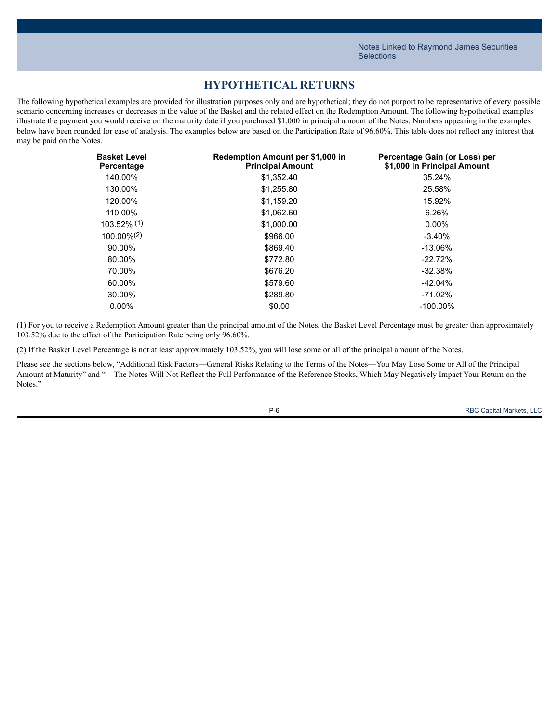## **HYPOTHETICAL RETURNS**

The following hypothetical examples are provided for illustration purposes only and are hypothetical; they do not purport to be representative of every possible scenario concerning increases or decreases in the value of the Basket and the related effect on the Redemption Amount. The following hypothetical examples illustrate the payment you would receive on the maturity date if you purchased \$1,000 in principal amount of the Notes. Numbers appearing in the examples below have been rounded for ease of analysis. The examples below are based on the Participation Rate of 96.60%. This table does not reflect any interest that may be paid on the Notes.

| <b>Basket Level</b><br>Percentage | Redemption Amount per \$1,000 in<br><b>Principal Amount</b> | Percentage Gain (or Loss) per<br>\$1,000 in Principal Amount |
|-----------------------------------|-------------------------------------------------------------|--------------------------------------------------------------|
| 140.00%                           | \$1,352.40                                                  | 35.24%                                                       |
| 130.00%                           | \$1,255.80                                                  | 25.58%                                                       |
| 120.00%                           | \$1.159.20                                                  | 15.92%                                                       |
| 110.00%                           | \$1,062.60                                                  | 6.26%                                                        |
| $103.52\%$ (1)                    | \$1,000.00                                                  | $0.00\%$                                                     |
| $100.00\%$ <sup>(2)</sup>         | \$966.00                                                    | $-3.40%$                                                     |
| 90.00%                            | \$869.40                                                    | $-13.06\%$                                                   |
| 80.00%                            | \$772.80                                                    | $-22.72%$                                                    |
| 70.00%                            | \$676.20                                                    | $-32.38%$                                                    |
| 60.00%                            | \$579.60                                                    | $-42.04\%$                                                   |
| 30.00%                            | \$289.80                                                    | $-71.02\%$                                                   |
| $0.00\%$                          | \$0.00                                                      | $-100.00\%$                                                  |

(1) For you to receive a Redemption Amount greater than the principal amount of the Notes, the Basket Level Percentage must be greater than approximately 103.52% due to the effect of the Participation Rate being only 96.60%.

(2) If the Basket Level Percentage is not at least approximately 103.52%, you will lose some or all of the principal amount of the Notes.

Please see the sections below, "Additional Risk Factors—General Risks Relating to the Terms of the Notes—You May Lose Some or All of the Principal Amount at Maturity" and "—The Notes Will Not Reflect the Full Performance of the Reference Stocks, Which May Negatively Impact Your Return on the Notes<sup>"</sup>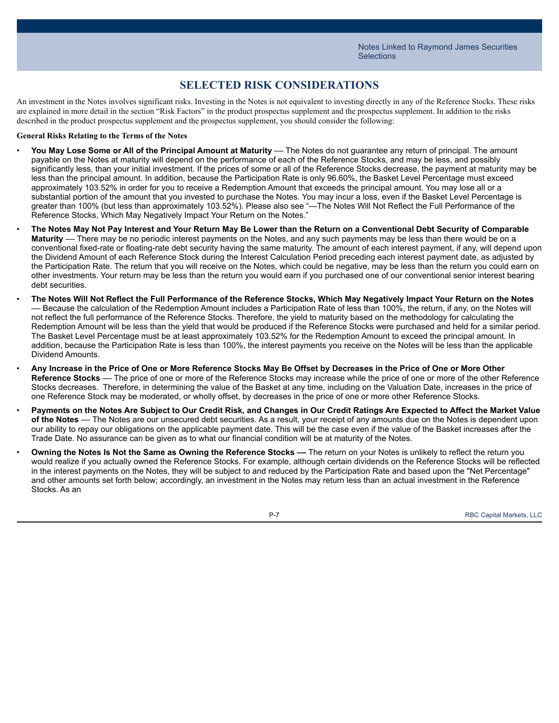## **SELECTED RISK CONSIDERATIONS**

An investment in the Notes involves significant risks. Investing in the Notes is not equivalent to investing directly in any of the Reference Stocks. These risks are explained in more detail in the section "Risk Factors" in the product prospectus supplement and the prospectus supplement. In addition to the risks described in the product prospectus supplement and the prospectus supplement, you should consider the following:

#### **General Risks Relating to the Terms of the Notes**

- **You May Lose Some or All of the Principal Amount at Maturity** –– The Notes do not guarantee any return of principal. The amount payable on the Notes at maturity will depend on the performance of each of the Reference Stocks, and may be less, and possibly significantly less, than your initial investment. If the prices of some or all of the Reference Stocks decrease, the payment at maturity may be less than the principal amount. In addition, because the Participation Rate is only 96.60%, the Basket Level Percentage must exceed approximately 103.52% in order for you to receive a Redemption Amount that exceeds the principal amount. You may lose all or a substantial portion of the amount that you invested to purchase the Notes. You may incur a loss, even if the Basket Level Percentage is greater than 100% (but less than approximately 103.52%). Please also see "—The Notes Will Not Reflect the Full Performance of the Reference Stocks, Which May Negatively Impact Your Return on the Notes."
- The Notes May Not Pay Interest and Your Return May Be Lower than the Return on a Conventional Debt Security of Comparable **Maturity** –– There may be no periodic interest payments on the Notes, and any such payments may be less than there would be on a conventional fixed-rate or floating-rate debt security having the same maturity. The amount of each interest payment, if any, will depend upon the Dividend Amount of each Reference Stock during the Interest Calculation Period preceding each interest payment date, as adjusted by the Participation Rate. The return that you will receive on the Notes, which could be negative, may be less than the return you could earn on other investments. Your return may be less than the return you would earn if you purchased one of our conventional senior interest bearing debt securities.
- The Notes Will Not Reflect the Full Performance of the Reference Stocks, Which May Negatively Impact Your Return on the Notes –– Because the calculation of the Redemption Amount includes a Participation Rate of less than 100%, the return, if any, on the Notes will not reflect the full performance of the Reference Stocks. Therefore, the yield to maturity based on the methodology for calculating the Redemption Amount will be less than the yield that would be produced if the Reference Stocks were purchased and held for a similar period. The Basket Level Percentage must be at least approximately 103.52% for the Redemption Amount to exceed the principal amount. In addition, because the Participation Rate is less than 100%, the interest payments you receive on the Notes will be less than the applicable Dividend Amounts.
- Any Increase in the Price of One or More Reference Stocks May Be Offset by Decreases in the Price of One or More Other **Reference Stocks** –– The price of one or more of the Reference Stocks may increase while the price of one or more of the other Reference Stocks decreases. Therefore, in determining the value of the Basket at any time, including on the Valuation Date, increases in the price of one Reference Stock may be moderated, or wholly offset, by decreases in the price of one or more other Reference Stocks.
- Payments on the Notes Are Subject to Our Credit Risk, and Changes in Our Credit Ratings Are Expected to Affect the Market Value **of the Notes** –– The Notes are our unsecured debt securities. As a result, your receipt of any amounts due on the Notes is dependent upon our ability to repay our obligations on the applicable payment date. This will be the case even if the value of the Basket increases after the Trade Date. No assurance can be given as to what our financial condition will be at maturity of the Notes.
- **Owning the Notes Is Not the Same as Owning the Reference Stocks ––** The return on your Notes is unlikely to reflect the return you would realize if you actually owned the Reference Stocks. For example, although certain dividends on the Reference Stocks will be reflected in the interest payments on the Notes, they will be subject to and reduced by the Participation Rate and based upon the "Net Percentage" and other amounts set forth below; accordingly, an investment in the Notes may return less than an actual investment in the Reference Stocks. As an



P-7 RBC Capital Markets, LLC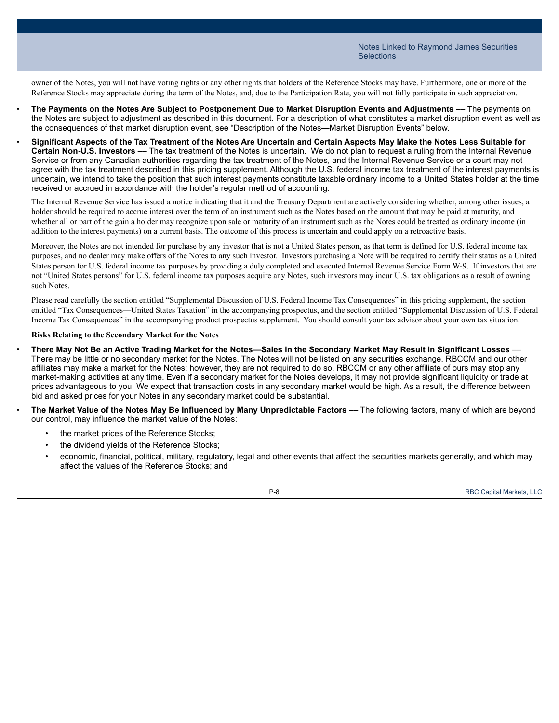owner of the Notes, you will not have voting rights or any other rights that holders of the Reference Stocks may have. Furthermore, one or more of the Reference Stocks may appreciate during the term of the Notes, and, due to the Participation Rate, you will not fully participate in such appreciation.

- The Payments on the Notes Are Subject to Postponement Due to Market Disruption Events and Adjustments The payments on the Notes are subject to adjustment as described in this document. For a description of what constitutes a market disruption event as well as the consequences of that market disruption event, see "Description of the Notes—Market Disruption Events" below.
- Significant Aspects of the Tax Treatment of the Notes Are Uncertain and Certain Aspects May Make the Notes Less Suitable for **Certain Non-U.S. Investors** –– The tax treatment of the Notes is uncertain. We do not plan to request a ruling from the Internal Revenue Service or from any Canadian authorities regarding the tax treatment of the Notes, and the Internal Revenue Service or a court may not agree with the tax treatment described in this pricing supplement. Although the U.S. federal income tax treatment of the interest payments is uncertain, we intend to take the position that such interest payments constitute taxable ordinary income to a United States holder at the time received or accrued in accordance with the holder's regular method of accounting.

The Internal Revenue Service has issued a notice indicating that it and the Treasury Department are actively considering whether, among other issues, a holder should be required to accrue interest over the term of an instrument such as the Notes based on the amount that may be paid at maturity, and whether all or part of the gain a holder may recognize upon sale or maturity of an instrument such as the Notes could be treated as ordinary income (in addition to the interest payments) on a current basis. The outcome of this process is uncertain and could apply on a retroactive basis.

Moreover, the Notes are not intended for purchase by any investor that is not a United States person, as that term is defined for U.S. federal income tax purposes, and no dealer may make offers of the Notes to any such investor. Investors purchasing a Note will be required to certify their status as a United States person for U.S. federal income tax purposes by providing a duly completed and executed Internal Revenue Service Form W-9. If investors that are not "United States persons" for U.S. federal income tax purposes acquire any Notes, such investors may incur U.S. tax obligations as a result of owning such Notes.

Please read carefully the section entitled "Supplemental Discussion of U.S. Federal Income Tax Consequences" in this pricing supplement, the section entitled "Tax Consequences—United States Taxation" in the accompanying prospectus, and the section entitled "Supplemental Discussion of U.S. Federal Income Tax Consequences" in the accompanying product prospectus supplement. You should consult your tax advisor about your own tax situation.

#### **Risks Relating to the Secondary Market for the Notes**

- There May Not Be an Active Trading Market for the Notes-Sales in the Secondary Market May Result in Significant Losses -There may be little or no secondary market for the Notes. The Notes will not be listed on any securities exchange. RBCCM and our other affiliates may make a market for the Notes; however, they are not required to do so. RBCCM or any other affiliate of ours may stop any market-making activities at any time. Even if a secondary market for the Notes develops, it may not provide significant liquidity or trade at prices advantageous to you. We expect that transaction costs in any secondary market would be high. As a result, the difference between bid and asked prices for your Notes in any secondary market could be substantial.
- **The Market Value of the Notes May Be Influenced by Many Unpredictable Factors** –– The following factors, many of which are beyond our control, may influence the market value of the Notes:
	- the market prices of the Reference Stocks;
	- the dividend yields of the Reference Stocks;
	- economic, financial, political, military, regulatory, legal and other events that affect the securities markets generally, and which may affect the values of the Reference Stocks; and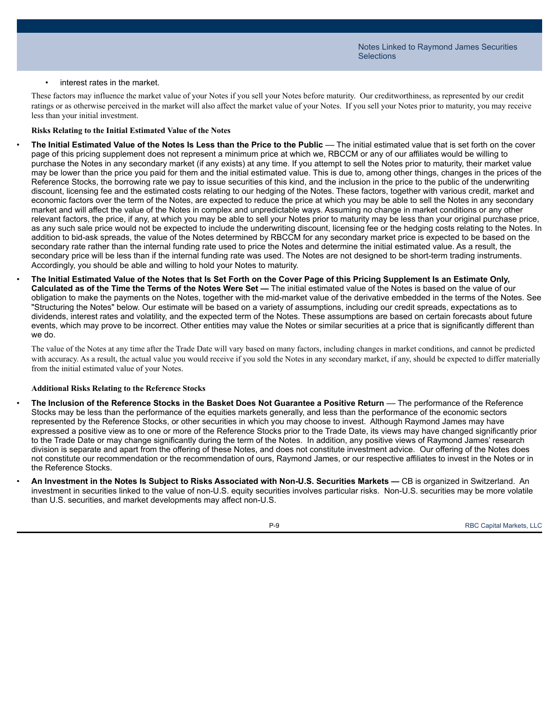#### • interest rates in the market.

These factors may influence the market value of your Notes if you sell your Notes before maturity. Our creditworthiness, as represented by our credit ratings or as otherwise perceived in the market will also affect the market value of your Notes. If you sell your Notes prior to maturity, you may receive less than your initial investment.

#### **Risks Relating to the Initial Estimated Value of the Notes**

The Initial Estimated Value of the Notes Is Less than the Price to the Public - The initial estimated value that is set forth on the cover page of this pricing supplement does not represent a minimum price at which we, RBCCM or any of our affiliates would be willing to purchase the Notes in any secondary market (if any exists) at any time. If you attempt to sell the Notes prior to maturity, their market value may be lower than the price you paid for them and the initial estimated value. This is due to, among other things, changes in the prices of the Reference Stocks, the borrowing rate we pay to issue securities of this kind, and the inclusion in the price to the public of the underwriting discount, licensing fee and the estimated costs relating to our hedging of the Notes. These factors, together with various credit, market and economic factors over the term of the Notes, are expected to reduce the price at which you may be able to sell the Notes in any secondary market and will affect the value of the Notes in complex and unpredictable ways. Assuming no change in market conditions or any other relevant factors, the price, if any, at which you may be able to sell your Notes prior to maturity may be less than your original purchase price, as any such sale price would not be expected to include the underwriting discount, licensing fee or the hedging costs relating to the Notes. In addition to bid-ask spreads, the value of the Notes determined by RBCCM for any secondary market price is expected to be based on the secondary rate rather than the internal funding rate used to price the Notes and determine the initial estimated value. As a result, the secondary price will be less than if the internal funding rate was used. The Notes are not designed to be short-term trading instruments. Accordingly, you should be able and willing to hold your Notes to maturity.

The Initial Estimated Value of the Notes that Is Set Forth on the Cover Page of this Pricing Supplement Is an Estimate Only, **Calculated as of the Time the Terms of the Notes Were Set —** The initial estimated value of the Notes is based on the value of our obligation to make the payments on the Notes, together with the mid-market value of the derivative embedded in the terms of the Notes. See "Structuring the Notes" below. Our estimate will be based on a variety of assumptions, including our credit spreads, expectations as to dividends, interest rates and volatility, and the expected term of the Notes. These assumptions are based on certain forecasts about future events, which may prove to be incorrect. Other entities may value the Notes or similar securities at a price that is significantly different than we do.

The value of the Notes at any time after the Trade Date will vary based on many factors, including changes in market conditions, and cannot be predicted with accuracy. As a result, the actual value you would receive if you sold the Notes in any secondary market, if any, should be expected to differ materially from the initial estimated value of your Notes.

#### **Additional Risks Relating to the Reference Stocks**

- The Inclusion of the Reference Stocks in the Basket Does Not Guarantee a Positive Return The performance of the Reference Stocks may be less than the performance of the equities markets generally, and less than the performance of the economic sectors represented by the Reference Stocks, or other securities in which you may choose to invest. Although Raymond James may have expressed a positive view as to one or more of the Reference Stocks prior to the Trade Date, its views may have changed significantly prior to the Trade Date or may change significantly during the term of the Notes. In addition, any positive views of Raymond James' research division is separate and apart from the offering of these Notes, and does not constitute investment advice. Our offering of the Notes does not constitute our recommendation or the recommendation of ours, Raymond James, or our respective affiliates to invest in the Notes or in the Reference Stocks.
- An Investment in the Notes Is Subject to Risks Associated with Non-U.S. Securities Markets CB is organized in Switzerland. An investment in securities linked to the value of non-U.S. equity securities involves particular risks. Non-U.S. securities may be more volatile than U.S. securities, and market developments may affect non-U.S.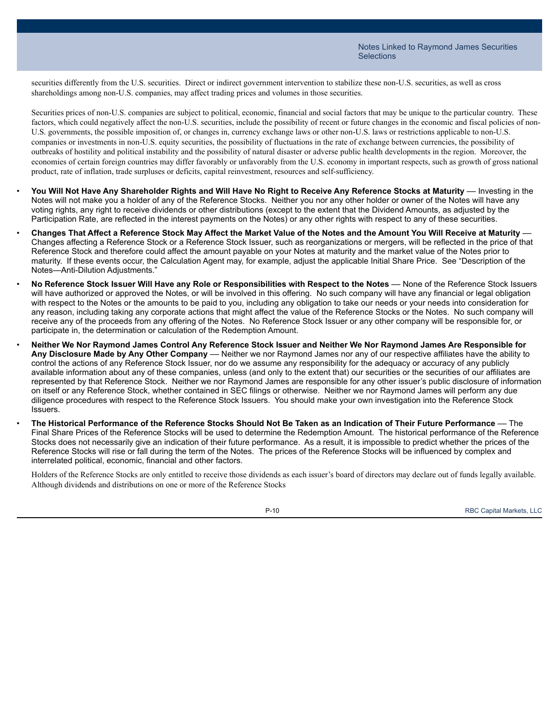securities differently from the U.S. securities. Direct or indirect government intervention to stabilize these non-U.S. securities, as well as cross shareholdings among non-U.S. companies, may affect trading prices and volumes in those securities.

Securities prices of non-U.S. companies are subject to political, economic, financial and social factors that may be unique to the particular country. These factors, which could negatively affect the non-U.S. securities, include the possibility of recent or future changes in the economic and fiscal policies of non-U.S. governments, the possible imposition of, or changes in, currency exchange laws or other non-U.S. laws or restrictions applicable to non-U.S. companies or investments in non-U.S. equity securities, the possibility of fluctuations in the rate of exchange between currencies, the possibility of outbreaks of hostility and political instability and the possibility of natural disaster or adverse public health developments in the region. Moreover, the economies of certain foreign countries may differ favorably or unfavorably from the U.S. economy in important respects, such as growth of gross national product, rate of inflation, trade surpluses or deficits, capital reinvestment, resources and self-sufficiency.

- You Will Not Have Any Shareholder Rights and Will Have No Right to Receive Any Reference Stocks at Maturity Investing in the Notes will not make you a holder of any of the Reference Stocks. Neither you nor any other holder or owner of the Notes will have any voting rights, any right to receive dividends or other distributions (except to the extent that the Dividend Amounts, as adjusted by the Participation Rate, are reflected in the interest payments on the Notes) or any other rights with respect to any of these securities.
- Changes That Affect a Reference Stock May Affect the Market Value of the Notes and the Amount You Will Receive at Maturity -Changes affecting a Reference Stock or a Reference Stock Issuer, such as reorganizations or mergers, will be reflected in the price of that Reference Stock and therefore could affect the amount payable on your Notes at maturity and the market value of the Notes prior to maturity. If these events occur, the Calculation Agent may, for example, adjust the applicable Initial Share Price. See "Description of the Notes—Anti-Dilution Adjustments."
- No Reference Stock Issuer Will Have any Role or Responsibilities with Respect to the Notes None of the Reference Stock Issuers will have authorized or approved the Notes, or will be involved in this offering. No such company will have any financial or legal obligation with respect to the Notes or the amounts to be paid to you, including any obligation to take our needs or your needs into consideration for any reason, including taking any corporate actions that might affect the value of the Reference Stocks or the Notes. No such company will receive any of the proceeds from any offering of the Notes. No Reference Stock Issuer or any other company will be responsible for, or participate in, the determination or calculation of the Redemption Amount.
- Neither We Nor Raymond James Control Any Reference Stock Issuer and Neither We Nor Raymond James Are Responsible for **Any Disclosure Made by Any Other Company** –– Neither we nor Raymond James nor any of our respective affiliates have the ability to control the actions of any Reference Stock Issuer, nor do we assume any responsibility for the adequacy or accuracy of any publicly available information about any of these companies, unless (and only to the extent that) our securities or the securities of our affiliates are represented by that Reference Stock. Neither we nor Raymond James are responsible for any other issuer's public disclosure of information on itself or any Reference Stock, whether contained in SEC filings or otherwise. Neither we nor Raymond James will perform any due diligence procedures with respect to the Reference Stock Issuers. You should make your own investigation into the Reference Stock Issuers.
- The Historical Performance of the Reference Stocks Should Not Be Taken as an Indication of Their Future Performance The Final Share Prices of the Reference Stocks will be used to determine the Redemption Amount. The historical performance of the Reference Stocks does not necessarily give an indication of their future performance. As a result, it is impossible to predict whether the prices of the Reference Stocks will rise or fall during the term of the Notes. The prices of the Reference Stocks will be influenced by complex and interrelated political, economic, financial and other factors.

Holders of the Reference Stocks are only entitled to receive those dividends as each issuer's board of directors may declare out of funds legally available. Although dividends and distributions on one or more of the Reference Stocks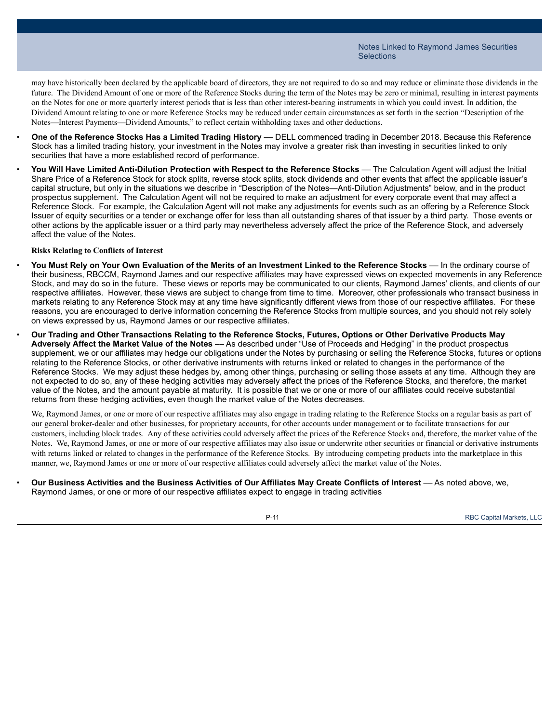may have historically been declared by the applicable board of directors, they are not required to do so and may reduce or eliminate those dividends in the future. The Dividend Amount of one or more of the Reference Stocks during the term of the Notes may be zero or minimal, resulting in interest payments on the Notes for one or more quarterly interest periods that is less than other interest-bearing instruments in which you could invest. In addition, the Dividend Amount relating to one or more Reference Stocks may be reduced under certain circumstances as set forth in the section "Description of the Notes—Interest Payments—Dividend Amounts," to reflect certain withholding taxes and other deductions.

- **One of the Reference Stocks Has a Limited Trading History** –– DELL commenced trading in December 2018. Because this Reference Stock has a limited trading history, your investment in the Notes may involve a greater risk than investing in securities linked to only securities that have a more established record of performance.
- **You Will Have Limited Anti-Dilution Protection with Respect to the Reference Stocks** –– The Calculation Agent will adjust the Initial Share Price of a Reference Stock for stock splits, reverse stock splits, stock dividends and other events that affect the applicable issuer's capital structure, but only in the situations we describe in "Description of the Notes—Anti-Dilution Adjustments" below, and in the product prospectus supplement. The Calculation Agent will not be required to make an adjustment for every corporate event that may affect a Reference Stock. For example, the Calculation Agent will not make any adjustments for events such as an offering by a Reference Stock Issuer of equity securities or a tender or exchange offer for less than all outstanding shares of that issuer by a third party. Those events or other actions by the applicable issuer or a third party may nevertheless adversely affect the price of the Reference Stock, and adversely affect the value of the Notes.

#### **Risks Relating to Conflicts of Interest**

- You Must Rely on Your Own Evaluation of the Merits of an Investment Linked to the Reference Stocks In the ordinary course of their business, RBCCM, Raymond James and our respective affiliates may have expressed views on expected movements in any Reference Stock, and may do so in the future. These views or reports may be communicated to our clients, Raymond James' clients, and clients of our respective affiliates. However, these views are subject to change from time to time. Moreover, other professionals who transact business in markets relating to any Reference Stock may at any time have significantly different views from those of our respective affiliates. For these reasons, you are encouraged to derive information concerning the Reference Stocks from multiple sources, and you should not rely solely on views expressed by us, Raymond James or our respective affiliates.
- Our Trading and Other Transactions Relating to the Reference Stocks, Futures, Options or Other Derivative Products May **Adversely Affect the Market Value of the Notes** –– As described under "Use of Proceeds and Hedging" in the product prospectus supplement, we or our affiliates may hedge our obligations under the Notes by purchasing or selling the Reference Stocks, futures or options relating to the Reference Stocks, or other derivative instruments with returns linked or related to changes in the performance of the Reference Stocks. We may adjust these hedges by, among other things, purchasing or selling those assets at any time. Although they are not expected to do so, any of these hedging activities may adversely affect the prices of the Reference Stocks, and therefore, the market value of the Notes, and the amount payable at maturity. It is possible that we or one or more of our affiliates could receive substantial returns from these hedging activities, even though the market value of the Notes decreases.

We, Raymond James, or one or more of our respective affiliates may also engage in trading relating to the Reference Stocks on a regular basis as part of our general broker-dealer and other businesses, for proprietary accounts, for other accounts under management or to facilitate transactions for our customers, including block trades. Any of these activities could adversely affect the prices of the Reference Stocks and, therefore, the market value of the Notes. We, Raymond James, or one or more of our respective affiliates may also issue or underwrite other securities or financial or derivative instruments with returns linked or related to changes in the performance of the Reference Stocks. By introducing competing products into the marketplace in this manner, we, Raymond James or one or more of our respective affiliates could adversely affect the market value of the Notes.

Our Business Activities and the Business Activities of Our Affiliates May Create Conflicts of Interest - As noted above, we, Raymond James, or one or more of our respective affiliates expect to engage in trading activities



P-11 RBC Capital Markets, LLC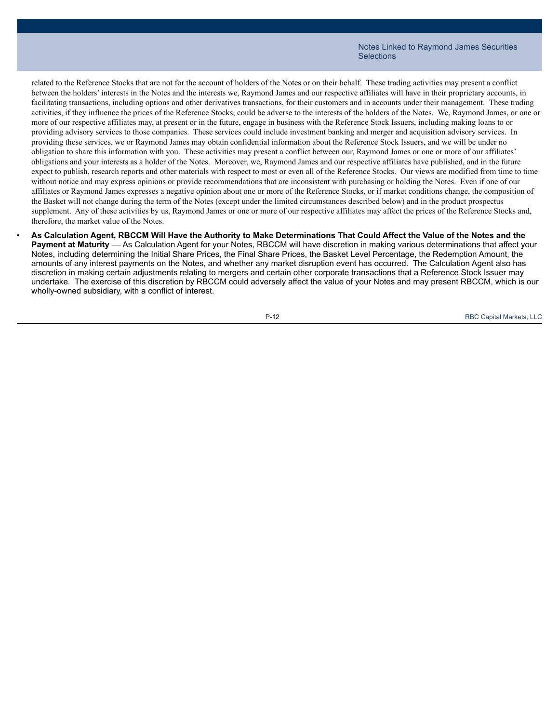related to the Reference Stocks that are not for the account of holders of the Notes or on their behalf. These trading activities may present a conflict between the holders' interests in the Notes and the interests we, Raymond James and our respective affiliates will have in their proprietary accounts, in facilitating transactions, including options and other derivatives transactions, for their customers and in accounts under their management. These trading activities, if they influence the prices of the Reference Stocks, could be adverse to the interests of the holders of the Notes. We, Raymond James, or one or more of our respective affiliates may, at present or in the future, engage in business with the Reference Stock Issuers, including making loans to or providing advisory services to those companies. These services could include investment banking and merger and acquisition advisory services. In providing these services, we or Raymond James may obtain confidential information about the Reference Stock Issuers, and we will be under no obligation to share this information with you. These activities may present a conflict between our, Raymond James or one or more of our affiliates' obligations and your interests as a holder of the Notes. Moreover, we, Raymond James and our respective affiliates have published, and in the future expect to publish, research reports and other materials with respect to most or even all of the Reference Stocks. Our views are modified from time to time without notice and may express opinions or provide recommendations that are inconsistent with purchasing or holding the Notes. Even if one of our affiliates or Raymond James expresses a negative opinion about one or more of the Reference Stocks, or if market conditions change, the composition of the Basket will not change during the term of the Notes (except under the limited circumstances described below) and in the product prospectus supplement. Any of these activities by us, Raymond James or one or more of our respective affiliates may affect the prices of the Reference Stocks and, therefore, the market value of the Notes.

As Calculation Agent, RBCCM Will Have the Authority to Make Determinations That Could Affect the Value of the Notes and the

**Payment at Maturity** –– As Calculation Agent for your Notes, RBCCM will have discretion in making various determinations that affect your Notes, including determining the Initial Share Prices, the Final Share Prices, the Basket Level Percentage, the Redemption Amount, the amounts of any interest payments on the Notes, and whether any market disruption event has occurred. The Calculation Agent also has discretion in making certain adjustments relating to mergers and certain other corporate transactions that a Reference Stock Issuer may undertake. The exercise of this discretion by RBCCM could adversely affect the value of your Notes and may present RBCCM, which is our wholly-owned subsidiary, with a conflict of interest.

P-12 RBC Capital Markets, LLC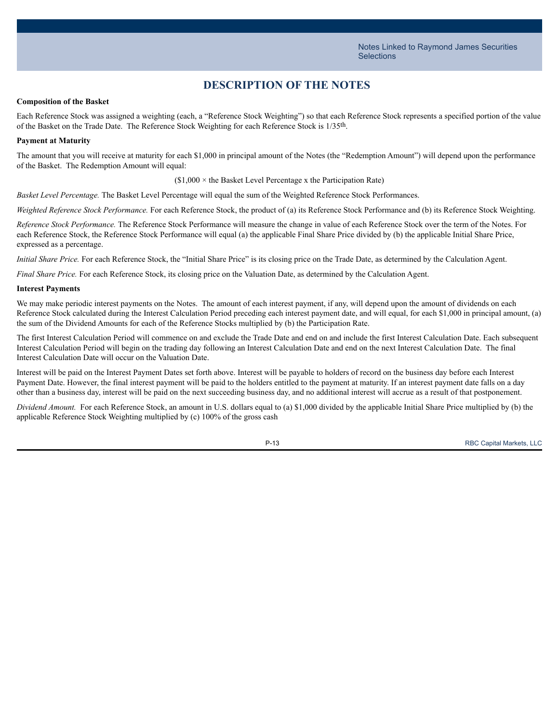## **DESCRIPTION OF THE NOTES**

#### **Composition of the Basket**

Each Reference Stock was assigned a weighting (each, a "Reference Stock Weighting") so that each Reference Stock represents a specified portion of the value of the Basket on the Trade Date. The Reference Stock Weighting for each Reference Stock is 1/35th.

#### **Payment at Maturity**

The amount that you will receive at maturity for each \$1,000 in principal amount of the Notes (the "Redemption Amount") will depend upon the performance of the Basket. The Redemption Amount will equal:

 $($1,000 \times$  the Basket Level Percentage x the Participation Rate)

*Basket Level Percentage.* The Basket Level Percentage will equal the sum of the Weighted Reference Stock Performances.

*Weighted Reference Stock Performance.* For each Reference Stock, the product of (a) its Reference Stock Performance and (b) its Reference Stock Weighting.

*Reference Stock Performance.* The Reference Stock Performance will measure the change in value of each Reference Stock over the term of the Notes. For each Reference Stock, the Reference Stock Performance will equal (a) the applicable Final Share Price divided by (b) the applicable Initial Share Price, expressed as a percentage.

*Initial Share Price.* For each Reference Stock, the "Initial Share Price" is its closing price on the Trade Date, as determined by the Calculation Agent.

*Final Share Price.* For each Reference Stock, its closing price on the Valuation Date, as determined by the Calculation Agent.

#### **Interest Payments**

We may make periodic interest payments on the Notes. The amount of each interest payment, if any, will depend upon the amount of dividends on each Reference Stock calculated during the Interest Calculation Period preceding each interest payment date, and will equal, for each \$1,000 in principal amount, (a) the sum of the Dividend Amounts for each of the Reference Stocks multiplied by (b) the Participation Rate.

The first Interest Calculation Period will commence on and exclude the Trade Date and end on and include the first Interest Calculation Date. Each subsequent Interest Calculation Period will begin on the trading day following an Interest Calculation Date and end on the next Interest Calculation Date. The final Interest Calculation Date will occur on the Valuation Date.

Interest will be paid on the Interest Payment Dates set forth above. Interest will be payable to holders of record on the business day before each Interest Payment Date. However, the final interest payment will be paid to the holders entitled to the payment at maturity. If an interest payment date falls on a day other than a business day, interest will be paid on the next succeeding business day, and no additional interest will accrue as a result of that postponement.

*Dividend Amount.* For each Reference Stock, an amount in U.S. dollars equal to (a) \$1,000 divided by the applicable Initial Share Price multiplied by (b) the applicable Reference Stock Weighting multiplied by (c) 100% of the gross cash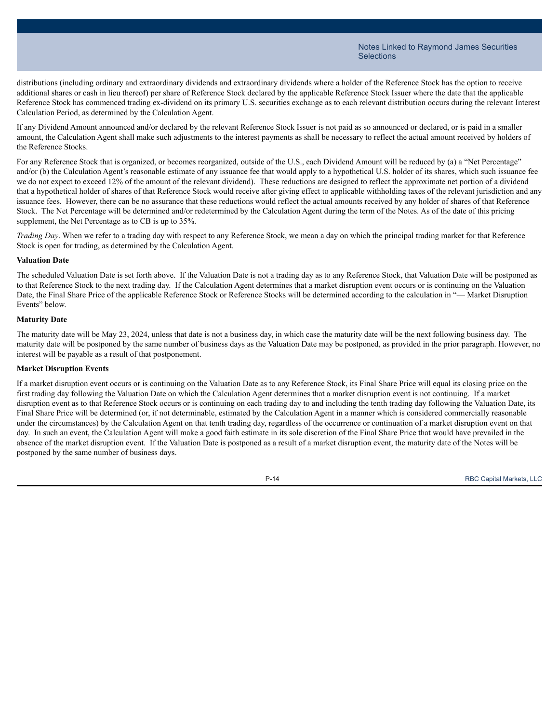distributions (including ordinary and extraordinary dividends and extraordinary dividends where a holder of the Reference Stock has the option to receive additional shares or cash in lieu thereof) per share of Reference Stock declared by the applicable Reference Stock Issuer where the date that the applicable Reference Stock has commenced trading ex-dividend on its primary U.S. securities exchange as to each relevant distribution occurs during the relevant Interest Calculation Period, as determined by the Calculation Agent.

If any Dividend Amount announced and/or declared by the relevant Reference Stock Issuer is not paid as so announced or declared, or is paid in a smaller amount, the Calculation Agent shall make such adjustments to the interest payments as shall be necessary to reflect the actual amount received by holders of the Reference Stocks.

For any Reference Stock that is organized, or becomes reorganized, outside of the U.S., each Dividend Amount will be reduced by (a) a "Net Percentage" and/or (b) the Calculation Agent's reasonable estimate of any issuance fee that would apply to a hypothetical U.S. holder of its shares, which such issuance fee we do not expect to exceed 12% of the amount of the relevant dividend). These reductions are designed to reflect the approximate net portion of a dividend that a hypothetical holder of shares of that Reference Stock would receive after giving effect to applicable withholding taxes of the relevant jurisdiction and any issuance fees. However, there can be no assurance that these reductions would reflect the actual amounts received by any holder of shares of that Reference Stock. The Net Percentage will be determined and/or redetermined by the Calculation Agent during the term of the Notes. As of the date of this pricing supplement, the Net Percentage as to CB is up to 35%.

*Trading Day*. When we refer to a trading day with respect to any Reference Stock, we mean a day on which the principal trading market for that Reference Stock is open for trading, as determined by the Calculation Agent.

#### **Valuation Date**

The scheduled Valuation Date is set forth above. If the Valuation Date is not a trading day as to any Reference Stock, that Valuation Date will be postponed as to that Reference Stock to the next trading day. If the Calculation Agent determines that a market disruption event occurs or is continuing on the Valuation Date, the Final Share Price of the applicable Reference Stock or Reference Stocks will be determined according to the calculation in "— Market Disruption Events" below.

#### **Maturity Date**

The maturity date will be May 23, 2024, unless that date is not a business day, in which case the maturity date will be the next following business day. The maturity date will be postponed by the same number of business days as the Valuation Date may be postponed, as provided in the prior paragraph. However, no interest will be payable as a result of that postponement.

#### **Market Disruption Events**

If a market disruption event occurs or is continuing on the Valuation Date as to any Reference Stock, its Final Share Price will equal its closing price on the first trading day following the Valuation Date on which the Calculation Agent determines that a market disruption event is not continuing. If a market disruption event as to that Reference Stock occurs or is continuing on each trading day to and including the tenth trading day following the Valuation Date, its Final Share Price will be determined (or, if not determinable, estimated by the Calculation Agent in a manner which is considered commercially reasonable under the circumstances) by the Calculation Agent on that tenth trading day, regardless of the occurrence or continuation of a market disruption event on that day. In such an event, the Calculation Agent will make a good faith estimate in its sole discretion of the Final Share Price that would have prevailed in the absence of the market disruption event. If the Valuation Date is postponed as a result of a market disruption event, the maturity date of the Notes will be postponed by the same number of business days.

P-14 RBC Capital Markets, LLC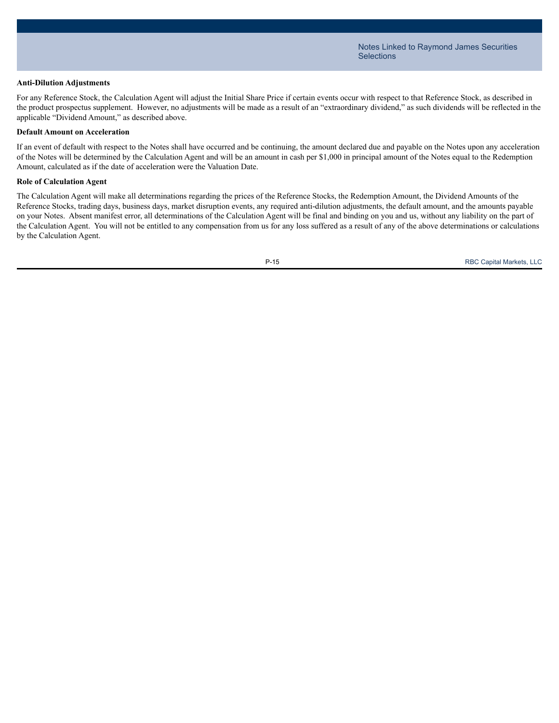#### **Anti-Dilution Adjustments**

For any Reference Stock, the Calculation Agent will adjust the Initial Share Price if certain events occur with respect to that Reference Stock, as described in the product prospectus supplement. However, no adjustments will be made as a result of an "extraordinary dividend," as such dividends will be reflected in the applicable "Dividend Amount," as described above.

#### **Default Amount on Acceleration**

If an event of default with respect to the Notes shall have occurred and be continuing, the amount declared due and payable on the Notes upon any acceleration of the Notes will be determined by the Calculation Agent and will be an amount in cash per \$1,000 in principal amount of the Notes equal to the Redemption Amount, calculated as if the date of acceleration were the Valuation Date.

#### **Role of Calculation Agent**

The Calculation Agent will make all determinations regarding the prices of the Reference Stocks, the Redemption Amount, the Dividend Amounts of the Reference Stocks, trading days, business days, market disruption events, any required anti-dilution adjustments, the default amount, and the amounts payable on your Notes. Absent manifest error, all determinations of the Calculation Agent will be final and binding on you and us, without any liability on the part of the Calculation Agent. You will not be entitled to any compensation from us for any loss suffered as a result of any of the above determinations or calculations by the Calculation Agent.

P-15 RBC Capital Markets, LLC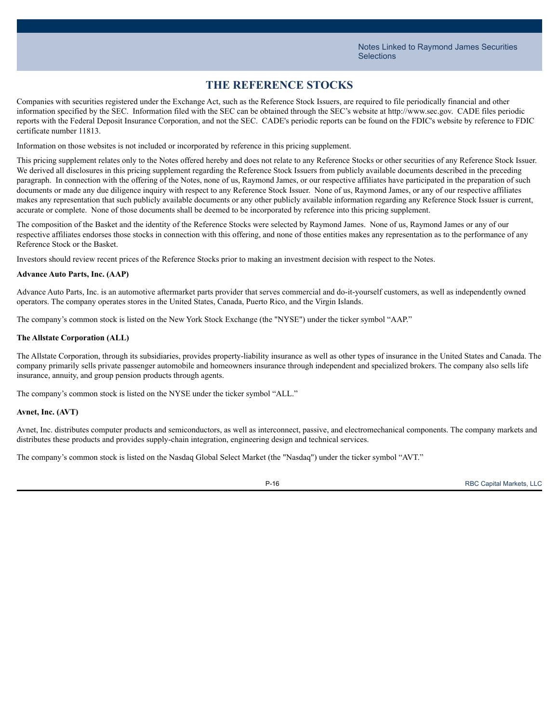## **THE REFERENCE STOCKS**

Companies with securities registered under the Exchange Act, such as the Reference Stock Issuers, are required to file periodically financial and other information specified by the SEC. Information filed with the SEC can be obtained through the SEC's website at http://www.sec.gov. CADE files periodic reports with the Federal Deposit Insurance Corporation, and not the SEC. CADE's periodic reports can be found on the FDIC's website by reference to FDIC certificate number 11813.

Information on those websites is not included or incorporated by reference in this pricing supplement.

This pricing supplement relates only to the Notes offered hereby and does not relate to any Reference Stocks or other securities of any Reference Stock Issuer. We derived all disclosures in this pricing supplement regarding the Reference Stock Issuers from publicly available documents described in the preceding paragraph. In connection with the offering of the Notes, none of us, Raymond James, or our respective affiliates have participated in the preparation of such documents or made any due diligence inquiry with respect to any Reference Stock Issuer. None of us, Raymond James, or any of our respective affiliates makes any representation that such publicly available documents or any other publicly available information regarding any Reference Stock Issuer is current, accurate or complete. None of those documents shall be deemed to be incorporated by reference into this pricing supplement.

The composition of the Basket and the identity of the Reference Stocks were selected by Raymond James. None of us, Raymond James or any of our respective affiliates endorses those stocks in connection with this offering, and none of those entities makes any representation as to the performance of any Reference Stock or the Basket.

Investors should review recent prices of the Reference Stocks prior to making an investment decision with respect to the Notes.

#### **Advance Auto Parts, Inc. (AAP)**

Advance Auto Parts, Inc. is an automotive aftermarket parts provider that serves commercial and do-it-yourself customers, as well as independently owned operators. The company operates stores in the United States, Canada, Puerto Rico, and the Virgin Islands.

The company's common stock is listed on the New York Stock Exchange (the "NYSE") under the ticker symbol "AAP."

#### **The Allstate Corporation (ALL)**

The Allstate Corporation, through its subsidiaries, provides property-liability insurance as well as other types of insurance in the United States and Canada. The company primarily sells private passenger automobile and homeowners insurance through independent and specialized brokers. The company also sells life insurance, annuity, and group pension products through agents.

The company's common stock is listed on the NYSE under the ticker symbol "ALL."

#### **Avnet, Inc. (AVT)**

Avnet, Inc. distributes computer products and semiconductors, as well as interconnect, passive, and electromechanical components. The company markets and distributes these products and provides supply-chain integration, engineering design and technical services.

The company's common stock is listed on the Nasdaq Global Select Market (the "Nasdaq") under the ticker symbol "AVT."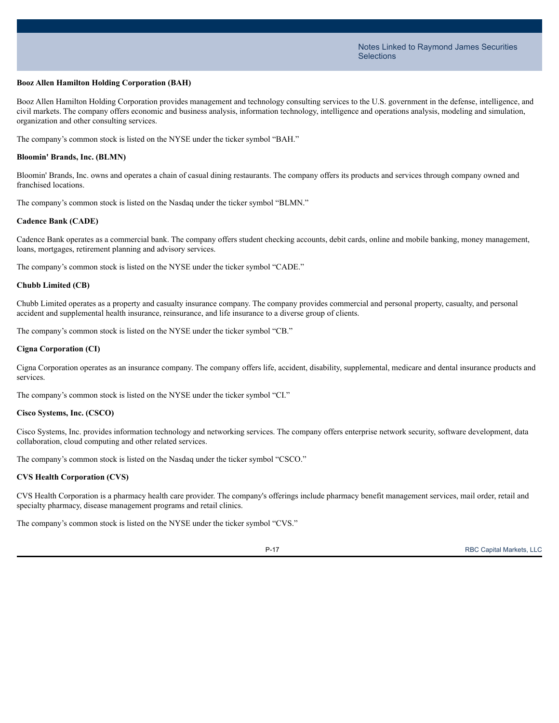#### **Booz Allen Hamilton Holding Corporation (BAH)**

Booz Allen Hamilton Holding Corporation provides management and technology consulting services to the U.S. government in the defense, intelligence, and civil markets. The company offers economic and business analysis, information technology, intelligence and operations analysis, modeling and simulation, organization and other consulting services.

The company's common stock is listed on the NYSE under the ticker symbol "BAH."

#### **Bloomin' Brands, Inc. (BLMN)**

Bloomin' Brands, Inc. owns and operates a chain of casual dining restaurants. The company offers its products and services through company owned and franchised locations.

The company's common stock is listed on the Nasdaq under the ticker symbol "BLMN."

#### **Cadence Bank (CADE)**

Cadence Bank operates as a commercial bank. The company offers student checking accounts, debit cards, online and mobile banking, money management, loans, mortgages, retirement planning and advisory services.

The company's common stock is listed on the NYSE under the ticker symbol "CADE."

#### **Chubb Limited (CB)**

Chubb Limited operates as a property and casualty insurance company. The company provides commercial and personal property, casualty, and personal accident and supplemental health insurance, reinsurance, and life insurance to a diverse group of clients.

The company's common stock is listed on the NYSE under the ticker symbol "CB."

#### **Cigna Corporation (CI)**

Cigna Corporation operates as an insurance company. The company offers life, accident, disability, supplemental, medicare and dental insurance products and services.

The company's common stock is listed on the NYSE under the ticker symbol "CI."

#### **Cisco Systems, Inc. (CSCO)**

Cisco Systems, Inc. provides information technology and networking services. The company offers enterprise network security, software development, data collaboration, cloud computing and other related services.

The company's common stock is listed on the Nasdaq under the ticker symbol "CSCO."

#### **CVS Health Corporation (CVS)**

CVS Health Corporation is a pharmacy health care provider. The company's offerings include pharmacy benefit management services, mail order, retail and specialty pharmacy, disease management programs and retail clinics.

The company's common stock is listed on the NYSE under the ticker symbol "CVS."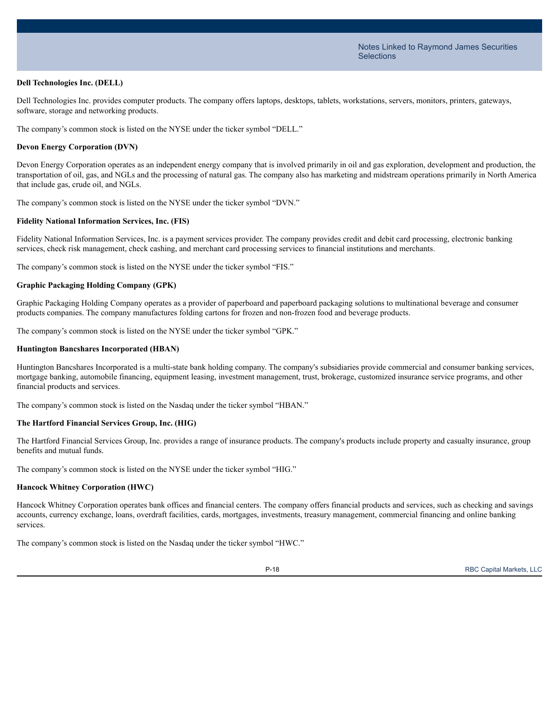#### **Dell Technologies Inc. (DELL)**

Dell Technologies Inc. provides computer products. The company offers laptops, desktops, tablets, workstations, servers, monitors, printers, gateways, software, storage and networking products.

The company's common stock is listed on the NYSE under the ticker symbol "DELL."

#### **Devon Energy Corporation (DVN)**

Devon Energy Corporation operates as an independent energy company that is involved primarily in oil and gas exploration, development and production, the transportation of oil, gas, and NGLs and the processing of natural gas. The company also has marketing and midstream operations primarily in North America that include gas, crude oil, and NGLs.

The company's common stock is listed on the NYSE under the ticker symbol "DVN."

#### **Fidelity National Information Services, Inc. (FIS)**

Fidelity National Information Services, Inc. is a payment services provider. The company provides credit and debit card processing, electronic banking services, check risk management, check cashing, and merchant card processing services to financial institutions and merchants.

The company's common stock is listed on the NYSE under the ticker symbol "FIS."

#### **Graphic Packaging Holding Company (GPK)**

Graphic Packaging Holding Company operates as a provider of paperboard and paperboard packaging solutions to multinational beverage and consumer products companies. The company manufactures folding cartons for frozen and non-frozen food and beverage products.

The company's common stock is listed on the NYSE under the ticker symbol "GPK."

#### **Huntington Bancshares Incorporated (HBAN)**

Huntington Bancshares Incorporated is a multi-state bank holding company. The company's subsidiaries provide commercial and consumer banking services, mortgage banking, automobile financing, equipment leasing, investment management, trust, brokerage, customized insurance service programs, and other financial products and services.

The company's common stock is listed on the Nasdaq under the ticker symbol "HBAN."

#### **The Hartford Financial Services Group, Inc. (HIG)**

The Hartford Financial Services Group, Inc. provides a range of insurance products. The company's products include property and casualty insurance, group benefits and mutual funds.

The company's common stock is listed on the NYSE under the ticker symbol "HIG."

#### **Hancock Whitney Corporation (HWC)**

Hancock Whitney Corporation operates bank offices and financial centers. The company offers financial products and services, such as checking and savings accounts, currency exchange, loans, overdraft facilities, cards, mortgages, investments, treasury management, commercial financing and online banking services.

The company's common stock is listed on the Nasdaq under the ticker symbol "HWC."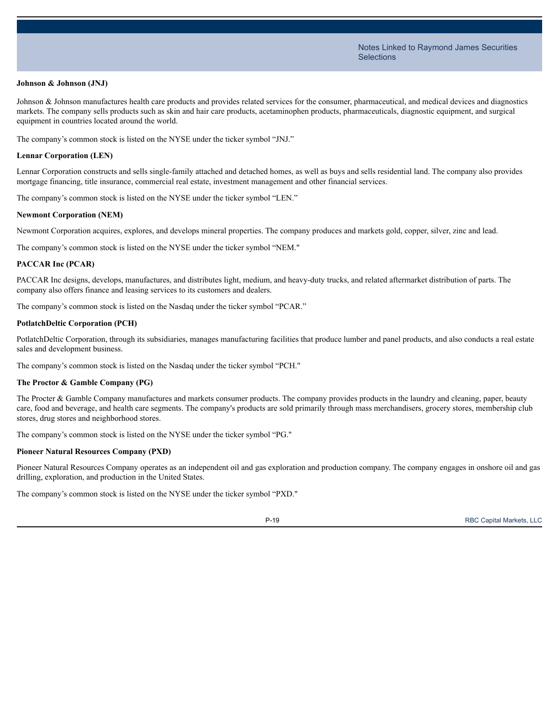#### **Johnson & Johnson (JNJ)**

Johnson & Johnson manufactures health care products and provides related services for the consumer, pharmaceutical, and medical devices and diagnostics markets. The company sells products such as skin and hair care products, acetaminophen products, pharmaceuticals, diagnostic equipment, and surgical equipment in countries located around the world.

The company's common stock is listed on the NYSE under the ticker symbol "JNJ."

#### **Lennar Corporation (LEN)**

Lennar Corporation constructs and sells single-family attached and detached homes, as well as buys and sells residential land. The company also provides mortgage financing, title insurance, commercial real estate, investment management and other financial services.

The company's common stock is listed on the NYSE under the ticker symbol "LEN."

#### **Newmont Corporation (NEM)**

Newmont Corporation acquires, explores, and develops mineral properties. The company produces and markets gold, copper, silver, zinc and lead.

The company's common stock is listed on the NYSE under the ticker symbol "NEM."

#### **PACCAR Inc (PCAR)**

PACCAR Inc designs, develops, manufactures, and distributes light, medium, and heavy-duty trucks, and related aftermarket distribution of parts. The company also offers finance and leasing services to its customers and dealers.

The company's common stock is listed on the Nasdaq under the ticker symbol "PCAR."

#### **PotlatchDeltic Corporation (PCH)**

PotlatchDeltic Corporation, through its subsidiaries, manages manufacturing facilities that produce lumber and panel products, and also conducts a real estate sales and development business.

The company's common stock is listed on the Nasdaq under the ticker symbol "PCH."

#### **The Proctor & Gamble Company (PG)**

The Procter & Gamble Company manufactures and markets consumer products. The company provides products in the laundry and cleaning, paper, beauty care, food and beverage, and health care segments. The company's products are sold primarily through mass merchandisers, grocery stores, membership club stores, drug stores and neighborhood stores.

The company's common stock is listed on the NYSE under the ticker symbol "PG."

#### **Pioneer Natural Resources Company (PXD)**

Pioneer Natural Resources Company operates as an independent oil and gas exploration and production company. The company engages in onshore oil and gas drilling, exploration, and production in the United States.

The company's common stock is listed on the NYSE under the ticker symbol "PXD."

P-19 RBC Capital Markets, LLC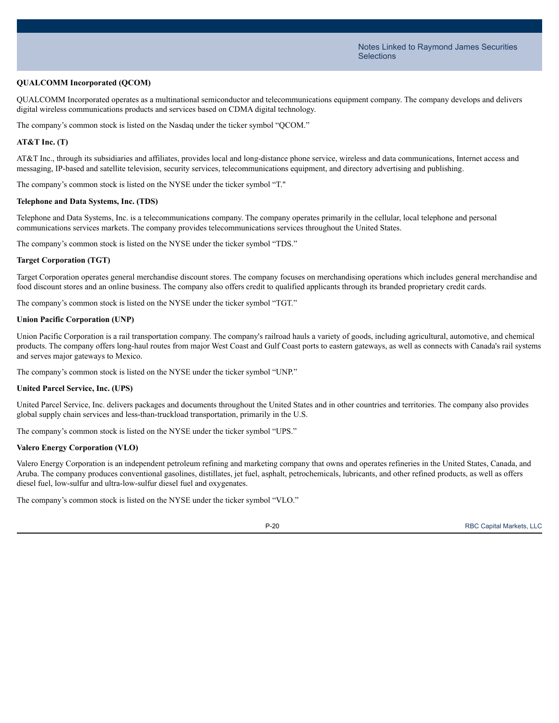#### **QUALCOMM Incorporated (QCOM)**

QUALCOMM Incorporated operates as a multinational semiconductor and telecommunications equipment company. The company develops and delivers digital wireless communications products and services based on CDMA digital technology.

The company's common stock is listed on the Nasdaq under the ticker symbol "QCOM."

#### **AT&T Inc. (T)**

AT&T Inc., through its subsidiaries and affiliates, provides local and long-distance phone service, wireless and data communications, Internet access and messaging, IP-based and satellite television, security services, telecommunications equipment, and directory advertising and publishing.

The company's common stock is listed on the NYSE under the ticker symbol "T."

#### **Telephone and Data Systems, Inc. (TDS)**

Telephone and Data Systems, Inc. is a telecommunications company. The company operates primarily in the cellular, local telephone and personal communications services markets. The company provides telecommunications services throughout the United States.

The company's common stock is listed on the NYSE under the ticker symbol "TDS."

#### **Target Corporation (TGT)**

Target Corporation operates general merchandise discount stores. The company focuses on merchandising operations which includes general merchandise and food discount stores and an online business. The company also offers credit to qualified applicants through its branded proprietary credit cards.

The company's common stock is listed on the NYSE under the ticker symbol "TGT."

#### **Union Pacific Corporation (UNP)**

Union Pacific Corporation is a rail transportation company. The company's railroad hauls a variety of goods, including agricultural, automotive, and chemical products. The company offers long-haul routes from major West Coast and Gulf Coast ports to eastern gateways, as well as connects with Canada's rail systems and serves major gateways to Mexico.

The company's common stock is listed on the NYSE under the ticker symbol "UNP."

#### **United Parcel Service, Inc. (UPS)**

United Parcel Service, Inc. delivers packages and documents throughout the United States and in other countries and territories. The company also provides global supply chain services and less-than-truckload transportation, primarily in the U.S.

The company's common stock is listed on the NYSE under the ticker symbol "UPS."

#### **Valero Energy Corporation (VLO)**

Valero Energy Corporation is an independent petroleum refining and marketing company that owns and operates refineries in the United States, Canada, and Aruba. The company produces conventional gasolines, distillates, jet fuel, asphalt, petrochemicals, lubricants, and other refined products, as well as offers diesel fuel, low-sulfur and ultra-low-sulfur diesel fuel and oxygenates.

The company's common stock is listed on the NYSE under the ticker symbol "VLO."



P-20 RBC Capital Markets, LLC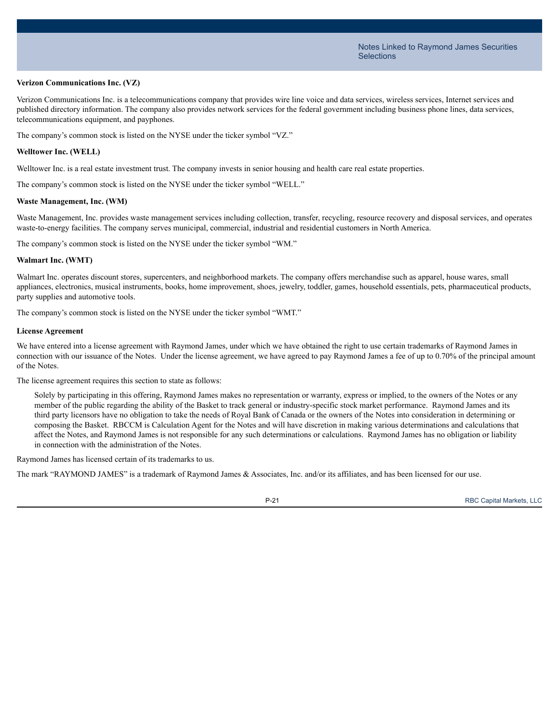#### **Verizon Communications Inc. (VZ)**

Verizon Communications Inc. is a telecommunications company that provides wire line voice and data services, wireless services, Internet services and published directory information. The company also provides network services for the federal government including business phone lines, data services, telecommunications equipment, and payphones.

The company's common stock is listed on the NYSE under the ticker symbol "VZ."

#### **Welltower Inc. (WELL)**

Welltower Inc. is a real estate investment trust. The company invests in senior housing and health care real estate properties.

The company's common stock is listed on the NYSE under the ticker symbol "WELL."

#### **Waste Management, Inc. (WM)**

Waste Management, Inc. provides waste management services including collection, transfer, recycling, resource recovery and disposal services, and operates waste-to-energy facilities. The company serves municipal, commercial, industrial and residential customers in North America.

The company's common stock is listed on the NYSE under the ticker symbol "WM."

#### **Walmart Inc. (WMT)**

Walmart Inc. operates discount stores, supercenters, and neighborhood markets. The company offers merchandise such as apparel, house wares, small appliances, electronics, musical instruments, books, home improvement, shoes, jewelry, toddler, games, household essentials, pets, pharmaceutical products, party supplies and automotive tools.

The company's common stock is listed on the NYSE under the ticker symbol "WMT."

#### **License Agreement**

We have entered into a license agreement with Raymond James, under which we have obtained the right to use certain trademarks of Raymond James in connection with our issuance of the Notes. Under the license agreement, we have agreed to pay Raymond James a fee of up to 0.70% of the principal amount of the Notes.

The license agreement requires this section to state as follows:

Solely by participating in this offering, Raymond James makes no representation or warranty, express or implied, to the owners of the Notes or any member of the public regarding the ability of the Basket to track general or industry-specific stock market performance. Raymond James and its third party licensors have no obligation to take the needs of Royal Bank of Canada or the owners of the Notes into consideration in determining or composing the Basket. RBCCM is Calculation Agent for the Notes and will have discretion in making various determinations and calculations that affect the Notes, and Raymond James is not responsible for any such determinations or calculations. Raymond James has no obligation or liability in connection with the administration of the Notes.

Raymond James has licensed certain of its trademarks to us.

The mark "RAYMOND JAMES" is a trademark of Raymond James & Associates, Inc. and/or its affiliates, and has been licensed for our use.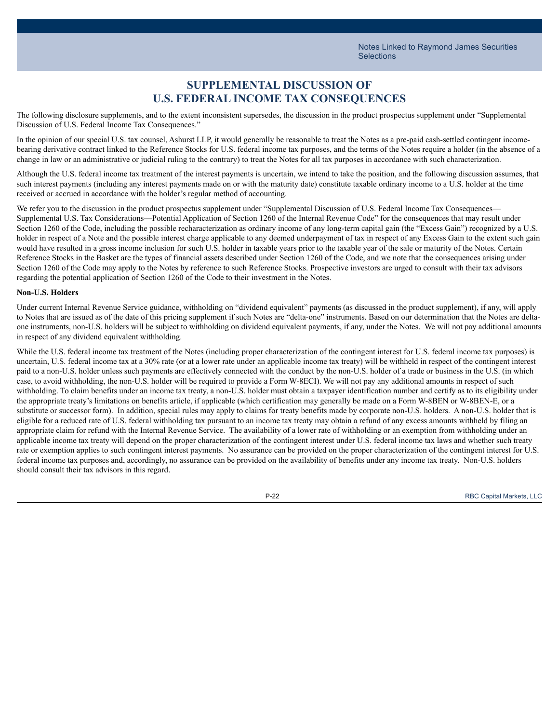## **SUPPLEMENTAL DISCUSSION OF U.S. FEDERAL INCOME TAX CONSEQUENCES**

The following disclosure supplements, and to the extent inconsistent supersedes, the discussion in the product prospectus supplement under "Supplemental Discussion of U.S. Federal Income Tax Consequences."

In the opinion of our special U.S. tax counsel, Ashurst LLP, it would generally be reasonable to treat the Notes as a pre-paid cash-settled contingent incomebearing derivative contract linked to the Reference Stocks for U.S. federal income tax purposes, and the terms of the Notes require a holder (in the absence of a change in law or an administrative or judicial ruling to the contrary) to treat the Notes for all tax purposes in accordance with such characterization.

Although the U.S. federal income tax treatment of the interest payments is uncertain, we intend to take the position, and the following discussion assumes, that such interest payments (including any interest payments made on or with the maturity date) constitute taxable ordinary income to a U.S. holder at the time received or accrued in accordance with the holder's regular method of accounting.

We refer you to the discussion in the product prospectus supplement under "Supplemental Discussion of U.S. Federal Income Tax Consequences— Supplemental U.S. Tax Considerations—Potential Application of Section 1260 of the Internal Revenue Code" for the consequences that may result under Section 1260 of the Code, including the possible recharacterization as ordinary income of any long-term capital gain (the "Excess Gain") recognized by a U.S. holder in respect of a Note and the possible interest charge applicable to any deemed underpayment of tax in respect of any Excess Gain to the extent such gain would have resulted in a gross income inclusion for such U.S. holder in taxable years prior to the taxable year of the sale or maturity of the Notes. Certain Reference Stocks in the Basket are the types of financial assets described under Section 1260 of the Code, and we note that the consequences arising under Section 1260 of the Code may apply to the Notes by reference to such Reference Stocks. Prospective investors are urged to consult with their tax advisors regarding the potential application of Section 1260 of the Code to their investment in the Notes.

#### **Non-U.S. Holders**

Under current Internal Revenue Service guidance, withholding on "dividend equivalent" payments (as discussed in the product supplement), if any, will apply to Notes that are issued as of the date of this pricing supplement if such Notes are "delta-one" instruments. Based on our determination that the Notes are deltaone instruments, non-U.S. holders will be subject to withholding on dividend equivalent payments, if any, under the Notes. We will not pay additional amounts in respect of any dividend equivalent withholding.

While the U.S. federal income tax treatment of the Notes (including proper characterization of the contingent interest for U.S. federal income tax purposes) is uncertain, U.S. federal income tax at a 30% rate (or at a lower rate under an applicable income tax treaty) will be withheld in respect of the contingent interest paid to a non-U.S. holder unless such payments are effectively connected with the conduct by the non-U.S. holder of a trade or business in the U.S. (in which case, to avoid withholding, the non-U.S. holder will be required to provide a Form W-8ECI). We will not pay any additional amounts in respect of such withholding. To claim benefits under an income tax treaty, a non-U.S. holder must obtain a taxpayer identification number and certify as to its eligibility under the appropriate treaty's limitations on benefits article, if applicable (which certification may generally be made on a Form W-8BEN or W-8BEN-E, or a substitute or successor form). In addition, special rules may apply to claims for treaty benefits made by corporate non-U.S. holders. A non-U.S. holder that is eligible for a reduced rate of U.S. federal withholding tax pursuant to an income tax treaty may obtain a refund of any excess amounts withheld by filing an appropriate claim for refund with the Internal Revenue Service. The availability of a lower rate of withholding or an exemption from withholding under an applicable income tax treaty will depend on the proper characterization of the contingent interest under U.S. federal income tax laws and whether such treaty rate or exemption applies to such contingent interest payments. No assurance can be provided on the proper characterization of the contingent interest for U.S. federal income tax purposes and, accordingly, no assurance can be provided on the availability of benefits under any income tax treaty. Non-U.S. holders should consult their tax advisors in this regard.



P-22 RBC Capital Markets, LLC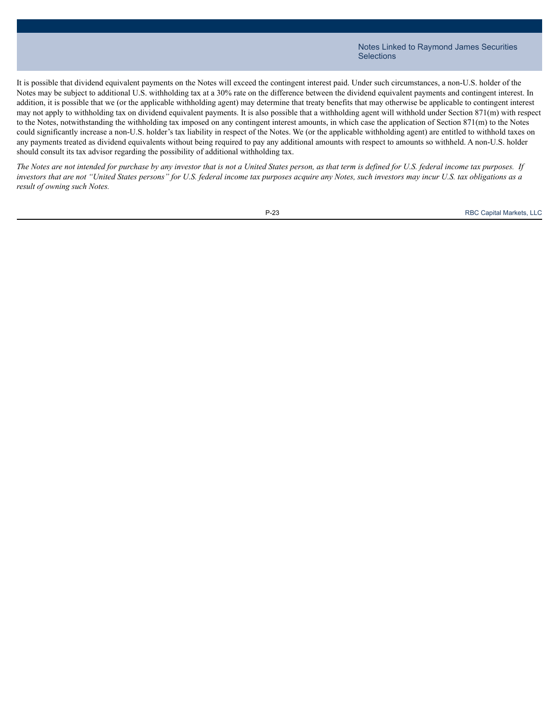It is possible that dividend equivalent payments on the Notes will exceed the contingent interest paid. Under such circumstances, a non-U.S. holder of the Notes may be subject to additional U.S. withholding tax at a 30% rate on the difference between the dividend equivalent payments and contingent interest. In addition, it is possible that we (or the applicable withholding agent) may determine that treaty benefits that may otherwise be applicable to contingent interest may not apply to withholding tax on dividend equivalent payments. It is also possible that a withholding agent will withhold under Section 871(m) with respect to the Notes, notwithstanding the withholding tax imposed on any contingent interest amounts, in which case the application of Section 871(m) to the Notes could significantly increase a non-U.S. holder's tax liability in respect of the Notes. We (or the applicable withholding agent) are entitled to withhold taxes on any payments treated as dividend equivalents without being required to pay any additional amounts with respect to amounts so withheld. A non-U.S. holder should consult its tax advisor regarding the possibility of additional withholding tax.

The Notes are not intended for purchase by any investor that is not a United States person, as that term is defined for U.S. federal income tax purposes. If investors that are not "United States persons" for U.S. federal income tax purposes acquire any Notes, such investors may incur U.S. tax obligations as a *result of owning such Notes.*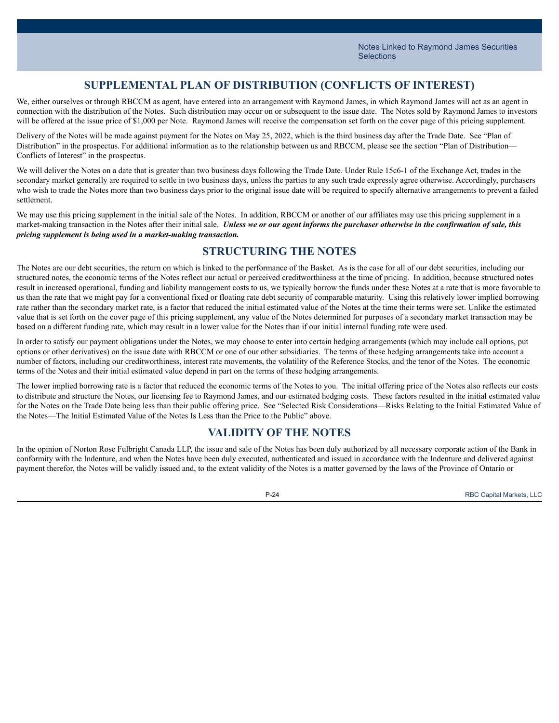## **SUPPLEMENTAL PLAN OF DISTRIBUTION (CONFLICTS OF INTEREST)**

We, either ourselves or through RBCCM as agent, have entered into an arrangement with Raymond James, in which Raymond James will act as an agent in connection with the distribution of the Notes. Such distribution may occur on or subsequent to the issue date. The Notes sold by Raymond James to investors will be offered at the issue price of \$1,000 per Note. Raymond James will receive the compensation set forth on the cover page of this pricing supplement.

Delivery of the Notes will be made against payment for the Notes on May 25, 2022, which is the third business day after the Trade Date. See "Plan of Distribution" in the prospectus. For additional information as to the relationship between us and RBCCM, please see the section "Plan of Distribution— Conflicts of Interest<sup>"</sup> in the prospectus.

We will deliver the Notes on a date that is greater than two business days following the Trade Date. Under Rule 15c6-1 of the Exchange Act, trades in the secondary market generally are required to settle in two business days, unless the parties to any such trade expressly agree otherwise. Accordingly, purchasers who wish to trade the Notes more than two business days prior to the original issue date will be required to specify alternative arrangements to prevent a failed settlement.

We may use this pricing supplement in the initial sale of the Notes. In addition, RBCCM or another of our affiliates may use this pricing supplement in a market-making transaction in the Notes after their initial sale. Unless we or our agent informs the purchaser otherwise in the confirmation of sale, this *pricing supplement is being used in a market-making transaction.*

## **STRUCTURING THE NOTES**

The Notes are our debt securities, the return on which is linked to the performance of the Basket. As is the case for all of our debt securities, including our structured notes, the economic terms of the Notes reflect our actual or perceived creditworthiness at the time of pricing. In addition, because structured notes result in increased operational, funding and liability management costs to us, we typically borrow the funds under these Notes at a rate that is more favorable to us than the rate that we might pay for a conventional fixed or floating rate debt security of comparable maturity. Using this relatively lower implied borrowing rate rather than the secondary market rate, is a factor that reduced the initial estimated value of the Notes at the time their terms were set. Unlike the estimated value that is set forth on the cover page of this pricing supplement, any value of the Notes determined for purposes of a secondary market transaction may be based on a different funding rate, which may result in a lower value for the Notes than if our initial internal funding rate were used.

In order to satisfy our payment obligations under the Notes, we may choose to enter into certain hedging arrangements (which may include call options, put options or other derivatives) on the issue date with RBCCM or one of our other subsidiaries. The terms of these hedging arrangements take into account a number of factors, including our creditworthiness, interest rate movements, the volatility of the Reference Stocks, and the tenor of the Notes. The economic terms of the Notes and their initial estimated value depend in part on the terms of these hedging arrangements.

The lower implied borrowing rate is a factor that reduced the economic terms of the Notes to you. The initial offering price of the Notes also reflects our costs to distribute and structure the Notes, our licensing fee to Raymond James, and our estimated hedging costs. These factors resulted in the initial estimated value for the Notes on the Trade Date being less than their public offering price. See "Selected Risk Considerations—Risks Relating to the Initial Estimated Value of the Notes—The Initial Estimated Value of the Notes Is Less than the Price to the Public" above.

### **VALIDITY OF THE NOTES**

In the opinion of Norton Rose Fulbright Canada LLP, the issue and sale of the Notes has been duly authorized by all necessary corporate action of the Bank in conformity with the Indenture, and when the Notes have been duly executed, authenticated and issued in accordance with the Indenture and delivered against payment therefor, the Notes will be validly issued and, to the extent validity of the Notes is a matter governed by the laws of the Province of Ontario or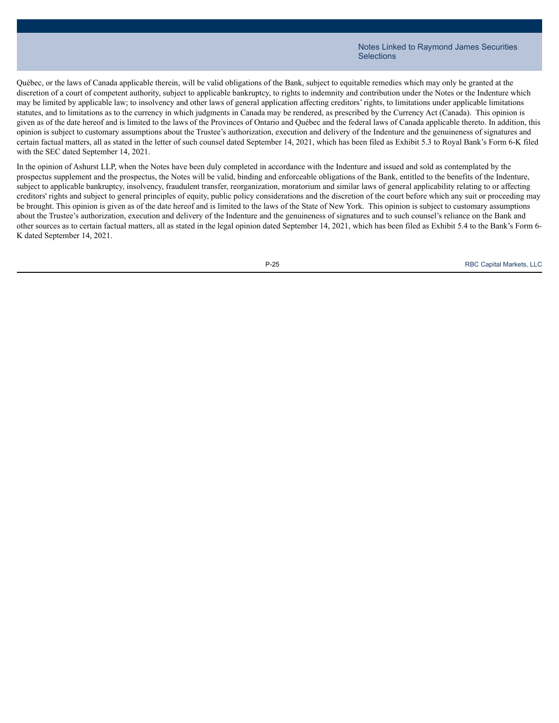Québec, or the laws of Canada applicable therein, will be valid obligations of the Bank, subject to equitable remedies which may only be granted at the discretion of a court of competent authority, subject to applicable bankruptcy, to rights to indemnity and contribution under the Notes or the Indenture which may be limited by applicable law; to insolvency and other laws of general application affecting creditors' rights, to limitations under applicable limitations statutes, and to limitations as to the currency in which judgments in Canada may be rendered, as prescribed by the Currency Act (Canada). This opinion is given as of the date hereof and is limited to the laws of the Provinces of Ontario and Québec and the federal laws of Canada applicable thereto. In addition, this opinion is subject to customary assumptions about the Trustee's authorization, execution and delivery of the Indenture and the genuineness of signatures and certain factual matters, all as stated in the letter of such counsel dated September 14, 2021, which has been filed as Exhibit 5.3 to Royal Bank's Form 6-K filed with the SEC dated September 14, 2021.

In the opinion of Ashurst LLP, when the Notes have been duly completed in accordance with the Indenture and issued and sold as contemplated by the prospectus supplement and the prospectus, the Notes will be valid, binding and enforceable obligations of the Bank, entitled to the benefits of the Indenture, subject to applicable bankruptcy, insolvency, fraudulent transfer, reorganization, moratorium and similar laws of general applicability relating to or affecting creditors' rights and subject to general principles of equity, public policy considerations and the discretion of the court before which any suit or proceeding may be brought. This opinion is given as of the date hereof and is limited to the laws of the State of New York. This opinion is subject to customary assumptions about the Trustee's authorization, execution and delivery of the Indenture and the genuineness of signatures and to such counsel's reliance on the Bank and other sources as to certain factual matters, all as stated in the legal opinion dated September 14, 2021, which has been filed as Exhibit 5.4 to the Bank's Form 6- K dated September 14, 2021.